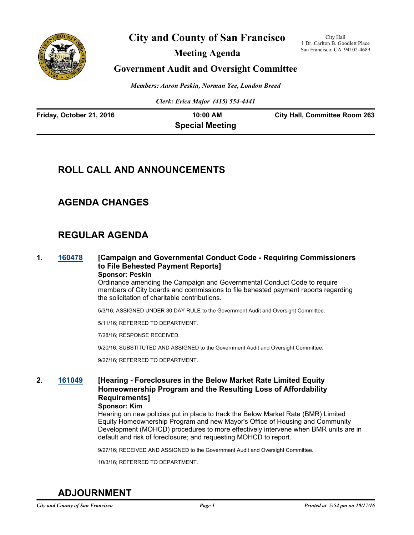

# **City and County of San Francisco**

**Meeting Agenda**

City Hall 1 Dr. Carlton B. Goodlett Place San Francisco, CA 94102-4689

# **Government Audit and Oversight Committee**

*Members: Aaron Peskin, Norman Yee, London Breed*

*Clerk: Erica Major (415) 554-4441*

| Friday, October 21, 2016 | $10:00$ AM             | <b>City Hall, Committee Room 263</b> |
|--------------------------|------------------------|--------------------------------------|
|                          | <b>Special Meeting</b> |                                      |

# **ROLL CALL AND ANNOUNCEMENTS**

# **AGENDA CHANGES**

# **REGULAR AGENDA**

**1. [160478](http://sfgov.legistar.com/gateway.aspx?m=l&id=30683) [Campaign and Governmental Conduct Code - Requiring Commissioners to File Behested Payment Reports] Sponsor: Peskin**

> Ordinance amending the Campaign and Governmental Conduct Code to require members of City boards and commissions to file behested payment reports regarding the solicitation of charitable contributions.

5/3/16; ASSIGNED UNDER 30 DAY RULE to the Government Audit and Oversight Committee.

5/11/16; REFERRED TO DEPARTMENT.

7/28/16; RESPONSE RECEIVED.

9/20/16; SUBSTITUTED AND ASSIGNED to the Government Audit and Oversight Committee.

9/27/16; REFERRED TO DEPARTMENT.

## **2. [161049](http://sfgov.legistar.com/gateway.aspx?m=l&id=31254) [Hearing - Foreclosures in the Below Market Rate Limited Equity Homeownership Program and the Resulting Loss of Affordability Requirements]**

**Sponsor: Kim**

Hearing on new policies put in place to track the Below Market Rate (BMR) Limited Equity Homeownership Program and new Mayor's Office of Housing and Community Development (MOHCD) procedures to more effectively intervene when BMR units are in default and risk of foreclosure; and requesting MOHCD to report.

9/27/16; RECEIVED AND ASSIGNED to the Government Audit and Oversight Committee.

10/3/16; REFERRED TO DEPARTMENT.

# **ADJOURNMENT**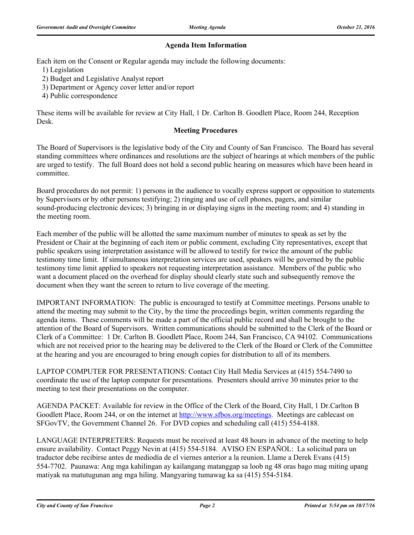#### **Agenda Item Information**

Each item on the Consent or Regular agenda may include the following documents:

1) Legislation

- 2) Budget and Legislative Analyst report
- 3) Department or Agency cover letter and/or report
- 4) Public correspondence

These items will be available for review at City Hall, 1 Dr. Carlton B. Goodlett Place, Room 244, Reception Desk.

#### **Meeting Procedures**

The Board of Supervisors is the legislative body of the City and County of San Francisco. The Board has several standing committees where ordinances and resolutions are the subject of hearings at which members of the public are urged to testify. The full Board does not hold a second public hearing on measures which have been heard in committee.

Board procedures do not permit: 1) persons in the audience to vocally express support or opposition to statements by Supervisors or by other persons testifying; 2) ringing and use of cell phones, pagers, and similar sound-producing electronic devices; 3) bringing in or displaying signs in the meeting room; and 4) standing in the meeting room.

Each member of the public will be allotted the same maximum number of minutes to speak as set by the President or Chair at the beginning of each item or public comment, excluding City representatives, except that public speakers using interpretation assistance will be allowed to testify for twice the amount of the public testimony time limit. If simultaneous interpretation services are used, speakers will be governed by the public testimony time limit applied to speakers not requesting interpretation assistance. Members of the public who want a document placed on the overhead for display should clearly state such and subsequently remove the document when they want the screen to return to live coverage of the meeting.

IMPORTANT INFORMATION: The public is encouraged to testify at Committee meetings. Persons unable to attend the meeting may submit to the City, by the time the proceedings begin, written comments regarding the agenda items. These comments will be made a part of the official public record and shall be brought to the attention of the Board of Supervisors. Written communications should be submitted to the Clerk of the Board or Clerk of a Committee: 1 Dr. Carlton B. Goodlett Place, Room 244, San Francisco, CA 94102. Communications which are not received prior to the hearing may be delivered to the Clerk of the Board or Clerk of the Committee at the hearing and you are encouraged to bring enough copies for distribution to all of its members.

LAPTOP COMPUTER FOR PRESENTATIONS: Contact City Hall Media Services at (415) 554-7490 to coordinate the use of the laptop computer for presentations. Presenters should arrive 30 minutes prior to the meeting to test their presentations on the computer.

AGENDA PACKET: Available for review in the Office of the Clerk of the Board, City Hall, 1 Dr.Carlton B Goodlett Place, Room 244, or on the internet at http://www.sfbos.org/meetings. Meetings are cablecast on SFGovTV, the Government Channel 26. For DVD copies and scheduling call (415) 554-4188.

LANGUAGE INTERPRETERS: Requests must be received at least 48 hours in advance of the meeting to help ensure availability. Contact Peggy Nevin at (415) 554-5184. AVISO EN ESPAÑOL: La solicitud para un traductor debe recibirse antes de mediodía de el viernes anterior a la reunion. Llame a Derek Evans (415) 554-7702. Paunawa: Ang mga kahilingan ay kailangang matanggap sa loob ng 48 oras bago mag miting upang matiyak na matutugunan ang mga hiling. Mangyaring tumawag ka sa (415) 554-5184.